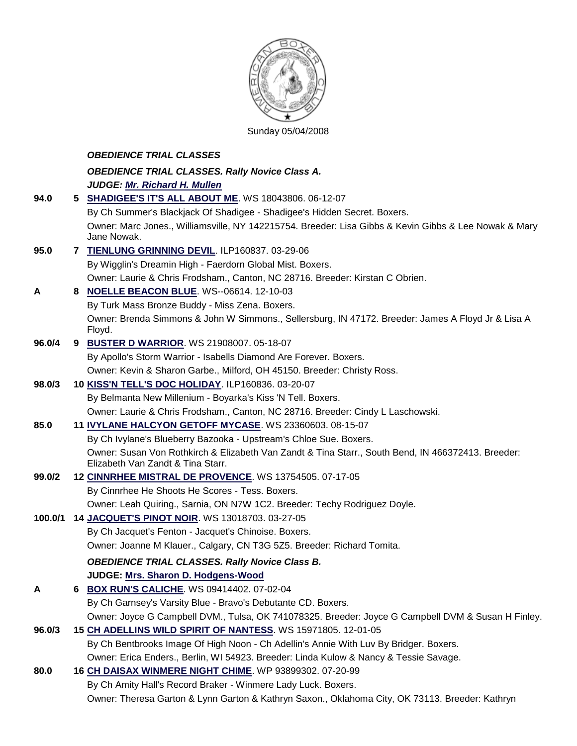

Sunday 05/04/2008

|         |    | <b>OBEDIENCE TRIAL CLASSES</b>                                                                                                             |
|---------|----|--------------------------------------------------------------------------------------------------------------------------------------------|
|         |    | <b>OBEDIENCE TRIAL CLASSES. Rally Novice Class A.</b>                                                                                      |
|         |    | JUDGE: Mr. Richard H. Mullen                                                                                                               |
| 94.0    | 5. | SHADIGEE'S IT'S ALL ABOUT ME. WS 18043806. 06-12-07                                                                                        |
|         |    | By Ch Summer's Blackjack Of Shadigee - Shadigee's Hidden Secret. Boxers.                                                                   |
|         |    | Owner: Marc Jones., Williamsville, NY 142215754. Breeder: Lisa Gibbs & Kevin Gibbs & Lee Nowak & Mary                                      |
|         |    | Jane Nowak.                                                                                                                                |
| 95.0    |    | 7 TIENLUNG GRINNING DEVIL. ILP160837. 03-29-06                                                                                             |
|         |    | By Wigglin's Dreamin High - Faerdorn Global Mist. Boxers.<br>Owner: Laurie & Chris Frodsham., Canton, NC 28716. Breeder: Kirstan C Obrien. |
|         |    |                                                                                                                                            |
| A       |    | 8 NOELLE BEACON BLUE. WS--06614. 12-10-03<br>By Turk Mass Bronze Buddy - Miss Zena. Boxers.                                                |
|         |    | Owner: Brenda Simmons & John W Simmons., Sellersburg, IN 47172. Breeder: James A Floyd Jr & Lisa A                                         |
|         |    | Floyd.                                                                                                                                     |
| 96.0/4  |    | 9 BUSTER D WARRIOR. WS 21908007. 05-18-07                                                                                                  |
|         |    | By Apollo's Storm Warrior - Isabells Diamond Are Forever. Boxers.                                                                          |
|         |    | Owner: Kevin & Sharon Garbe., Milford, OH 45150. Breeder: Christy Ross.                                                                    |
| 98.0/3  |    | 10 KISS'N TELL'S DOC HOLIDAY. ILP160836. 03-20-07                                                                                          |
|         |    | By Belmanta New Millenium - Boyarka's Kiss 'N Tell. Boxers.                                                                                |
|         |    | Owner: Laurie & Chris Frodsham., Canton, NC 28716. Breeder: Cindy L Laschowski.                                                            |
| 85.0    |    | 11 IVYLANE HALCYON GETOFF MYCASE. WS 23360603. 08-15-07                                                                                    |
|         |    | By Ch Ivylane's Blueberry Bazooka - Upstream's Chloe Sue. Boxers.                                                                          |
|         |    | Owner: Susan Von Rothkirch & Elizabeth Van Zandt & Tina Starr., South Bend, IN 466372413. Breeder:<br>Elizabeth Van Zandt & Tina Starr.    |
| 99.0/2  |    | 12 CINNRHEE MISTRAL DE PROVENCE. WS 13754505. 07-17-05                                                                                     |
|         |    | By Cinnrhee He Shoots He Scores - Tess. Boxers.                                                                                            |
|         |    | Owner: Leah Quiring., Sarnia, ON N7W 1C2. Breeder: Techy Rodriguez Doyle.                                                                  |
| 100.0/1 |    | 14 JACQUET'S PINOT NOIR. WS 13018703. 03-27-05                                                                                             |
|         |    | By Ch Jacquet's Fenton - Jacquet's Chinoise. Boxers.                                                                                       |
|         |    | Owner: Joanne M Klauer., Calgary, CN T3G 5Z5. Breeder: Richard Tomita.                                                                     |
|         |    | <b>OBEDIENCE TRIAL CLASSES. Rally Novice Class B.</b>                                                                                      |
|         |    | JUDGE: Mrs. Sharon D. Hodgens-Wood                                                                                                         |
| A       | 6  | <b>BOX RUN'S CALICHE. WS 09414402. 07-02-04</b>                                                                                            |
|         |    | By Ch Garnsey's Varsity Blue - Bravo's Debutante CD. Boxers.                                                                               |
|         |    | Owner: Joyce G Campbell DVM., Tulsa, OK 741078325. Breeder: Joyce G Campbell DVM & Susan H Finley.                                         |
| 96.0/3  |    | 15 CH ADELLINS WILD SPIRIT OF NANTESS. WS 15971805. 12-01-05                                                                               |
|         |    | By Ch Bentbrooks Image Of High Noon - Ch Adellin's Annie With Luv By Bridger. Boxers.                                                      |
|         |    | Owner: Erica Enders., Berlin, WI 54923. Breeder: Linda Kulow & Nancy & Tessie Savage.                                                      |
| 80.0    |    | 16 CH DAISAX WINMERE NIGHT CHIME. WP 93899302. 07-20-99                                                                                    |
|         |    | By Ch Amity Hall's Record Braker - Winmere Lady Luck. Boxers.                                                                              |

Owner: Theresa Garton & Lynn Garton & Kathryn Saxon., Oklahoma City, OK 73113. Breeder: Kathryn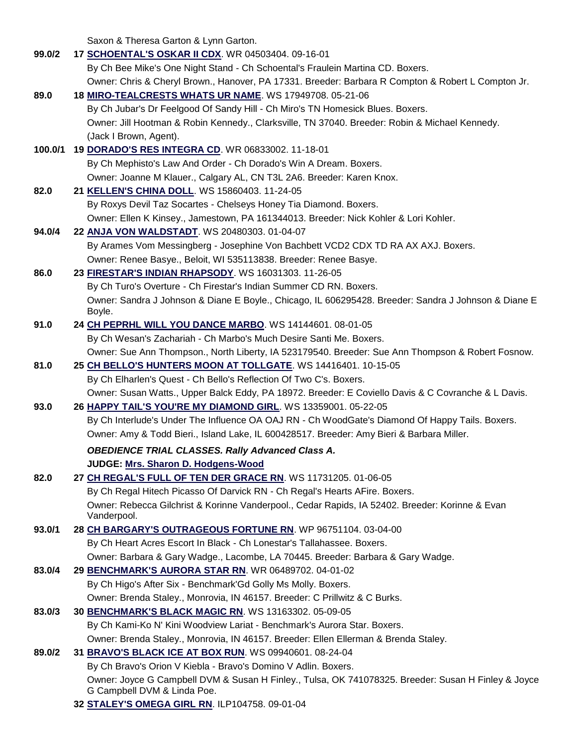Saxon & Theresa Garton & Lynn Garton.

| 99.0/2  | 17 SCHOENTAL'S OSKAR II CDX. WR 04503404. 09-16-01                                                                                 |
|---------|------------------------------------------------------------------------------------------------------------------------------------|
|         | By Ch Bee Mike's One Night Stand - Ch Schoental's Fraulein Martina CD. Boxers.                                                     |
|         | Owner: Chris & Cheryl Brown., Hanover, PA 17331. Breeder: Barbara R Compton & Robert L Compton Jr.                                 |
| 89.0    | 18 MIRO-TEALCRESTS WHATS UR NAME. WS 17949708. 05-21-06                                                                            |
|         | By Ch Jubar's Dr Feelgood Of Sandy Hill - Ch Miro's TN Homesick Blues. Boxers.                                                     |
|         | Owner: Jill Hootman & Robin Kennedy., Clarksville, TN 37040. Breeder: Robin & Michael Kennedy.                                     |
|         | (Jack I Brown, Agent).                                                                                                             |
| 100.0/1 | 19 DORADO'S RES INTEGRA CD. WR 06833002. 11-18-01                                                                                  |
|         | By Ch Mephisto's Law And Order - Ch Dorado's Win A Dream. Boxers.                                                                  |
|         | Owner: Joanne M Klauer., Calgary AL, CN T3L 2A6. Breeder: Karen Knox.                                                              |
| 82.0    | 21 KELLEN'S CHINA DOLL. WS 15860403. 11-24-05                                                                                      |
|         | By Roxys Devil Taz Socartes - Chelseys Honey Tia Diamond. Boxers.                                                                  |
|         | Owner: Ellen K Kinsey., Jamestown, PA 161344013. Breeder: Nick Kohler & Lori Kohler.                                               |
| 94.0/4  | 22 ANJA VON WALDSTADT. WS 20480303. 01-04-07                                                                                       |
|         | By Arames Vom Messingberg - Josephine Von Bachbett VCD2 CDX TD RA AX AXJ. Boxers.                                                  |
|         | Owner: Renee Basye., Beloit, WI 535113838. Breeder: Renee Basye.                                                                   |
| 86.0    | 23 FIRESTAR'S INDIAN RHAPSODY. WS 16031303. 11-26-05                                                                               |
|         | By Ch Turo's Overture - Ch Firestar's Indian Summer CD RN. Boxers.                                                                 |
|         | Owner: Sandra J Johnson & Diane E Boyle., Chicago, IL 606295428. Breeder: Sandra J Johnson & Diane E                               |
|         | Boyle.                                                                                                                             |
| 91.0    | 24 CH PEPRHL WILL YOU DANCE MARBO. WS 14144601. 08-01-05                                                                           |
|         | By Ch Wesan's Zachariah - Ch Marbo's Much Desire Santi Me. Boxers.                                                                 |
|         | Owner: Sue Ann Thompson., North Liberty, IA 523179540. Breeder: Sue Ann Thompson & Robert Fosnow.                                  |
| 81.0    | 25 CH BELLO'S HUNTERS MOON AT TOLLGATE. WS 14416401. 10-15-05                                                                      |
|         | By Ch Elharlen's Quest - Ch Bello's Reflection Of Two C's. Boxers.                                                                 |
|         | Owner: Susan Watts., Upper Balck Eddy, PA 18972. Breeder: E Coviello Davis & C Covranche & L Davis.                                |
| 93.0    | 26 HAPPY TAIL'S YOU'RE MY DIAMOND GIRL. WS 13359001. 05-22-05                                                                      |
|         | By Ch Interlude's Under The Influence OA OAJ RN - Ch WoodGate's Diamond Of Happy Tails. Boxers.                                    |
|         | Owner: Amy & Todd Bieri., Island Lake, IL 600428517. Breeder: Amy Bieri & Barbara Miller.                                          |
|         | <b>OBEDIENCE TRIAL CLASSES. Rally Advanced Class A.</b>                                                                            |
|         | JUDGE: Mrs. Sharon D. Hodgens-Wood                                                                                                 |
| 82.0    | 27 CH REGAL'S FULL OF TEN DER GRACE RN. WS 11731205. 01-06-05                                                                      |
|         | By Ch Regal Hitech Picasso Of Darvick RN - Ch Regal's Hearts AFire. Boxers.                                                        |
|         | Owner: Rebecca Gilchrist & Korinne Vanderpool., Cedar Rapids, IA 52402. Breeder: Korinne & Evan                                    |
|         | Vanderpool.                                                                                                                        |
| 93.0/1  | 28 CH BARGARY'S OUTRAGEOUS FORTUNE RN. WP 96751104. 03-04-00                                                                       |
|         | By Ch Heart Acres Escort In Black - Ch Lonestar's Tallahassee. Boxers.                                                             |
|         | Owner: Barbara & Gary Wadge., Lacombe, LA 70445. Breeder: Barbara & Gary Wadge.                                                    |
| 83.0/4  | 29 BENCHMARK'S AURORA STAR RN. WR 06489702. 04-01-02                                                                               |
|         | By Ch Higo's After Six - Benchmark'Gd Golly Ms Molly. Boxers.                                                                      |
|         | Owner: Brenda Staley., Monrovia, IN 46157. Breeder: C Prillwitz & C Burks.                                                         |
| 83.0/3  | 30 BENCHMARK'S BLACK MAGIC RN. WS 13163302. 05-09-05                                                                               |
|         | By Ch Kami-Ko N' Kini Woodview Lariat - Benchmark's Aurora Star. Boxers.                                                           |
|         | Owner: Brenda Staley., Monrovia, IN 46157. Breeder: Ellen Ellerman & Brenda Staley.                                                |
| 89.0/2  | 31 BRAVO'S BLACK ICE AT BOX RUN. WS 09940601. 08-24-04                                                                             |
|         | By Ch Bravo's Orion V Kiebla - Bravo's Domino V Adlin. Boxers.                                                                     |
|         | Owner: Joyce G Campbell DVM & Susan H Finley., Tulsa, OK 741078325. Breeder: Susan H Finley & Joyce<br>G Campbell DVM & Linda Poe. |
|         | 23 CTALEVIC OMECA CIDI DNL ILD104750 00.01.04                                                                                      |

**32 [STALEY'S OMEGA GIRL RN](http://canis.infodog.com/files/bdogrsl1.prg;makc=ILP104758;mdog=Staley_s_Omega_Girl_RN;wins=all)**. ILP104758. 09-01-04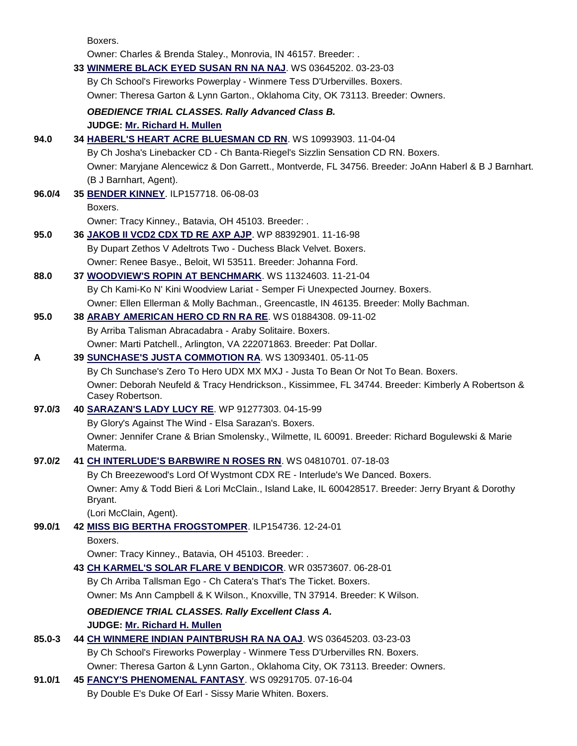Boxers.

|        | Owner: Charles & Brenda Staley., Monrovia, IN 46157. Breeder: .                                                       |
|--------|-----------------------------------------------------------------------------------------------------------------------|
|        | 33 WINMERE BLACK EYED SUSAN RN NA NAJ. WS 03645202. 03-23-03                                                          |
|        | By Ch School's Fireworks Powerplay - Winmere Tess D'Urbervilles. Boxers.                                              |
|        | Owner: Theresa Garton & Lynn Garton., Oklahoma City, OK 73113. Breeder: Owners.                                       |
|        | <b>OBEDIENCE TRIAL CLASSES. Rally Advanced Class B.</b>                                                               |
|        | JUDGE: Mr. Richard H. Mullen                                                                                          |
| 94.0   | 34 HABERL'S HEART ACRE BLUESMAN CD RN. WS 10993903. 11-04-04                                                          |
|        | By Ch Josha's Linebacker CD - Ch Banta-Riegel's Sizzlin Sensation CD RN. Boxers.                                      |
|        | Owner: Maryjane Alencewicz & Don Garrett., Montverde, FL 34756. Breeder: JoAnn Haberl & B J Barnhart.                 |
|        | (B J Barnhart, Agent).                                                                                                |
| 96.0/4 | 35 BENDER KINNEY. ILP157718. 06-08-03                                                                                 |
|        | Boxers.                                                                                                               |
|        | Owner: Tracy Kinney., Batavia, OH 45103. Breeder: .                                                                   |
| 95.0   | 36 JAKOB II VCD2 CDX TD RE AXP AJP. WP 88392901. 11-16-98                                                             |
|        | By Dupart Zethos V Adeltrots Two - Duchess Black Velvet. Boxers.                                                      |
|        | Owner: Renee Basye., Beloit, WI 53511. Breeder: Johanna Ford.                                                         |
| 88.0   | 37 WOODVIEW'S ROPIN AT BENCHMARK. WS 11324603. 11-21-04                                                               |
|        | By Ch Kami-Ko N' Kini Woodview Lariat - Semper Fi Unexpected Journey. Boxers.                                         |
|        | Owner: Ellen Ellerman & Molly Bachman., Greencastle, IN 46135. Breeder: Molly Bachman.                                |
| 95.0   | 38 ARABY AMERICAN HERO CD RN RA RE. WS 01884308. 09-11-02                                                             |
|        | By Arriba Talisman Abracadabra - Araby Solitaire. Boxers.                                                             |
|        | Owner: Marti Patchell., Arlington, VA 222071863. Breeder: Pat Dollar.                                                 |
| A      | 39 SUNCHASE'S JUSTA COMMOTION RA. WS 13093401. 05-11-05                                                               |
|        | By Ch Sunchase's Zero To Hero UDX MX MXJ - Justa To Bean Or Not To Bean. Boxers.                                      |
|        | Owner: Deborah Neufeld & Tracy Hendrickson., Kissimmee, FL 34744. Breeder: Kimberly A Robertson &<br>Casey Robertson. |
| 97.0/3 | 40 SARAZAN'S LADY LUCY RE. WP 91277303. 04-15-99                                                                      |
|        | By Glory's Against The Wind - Elsa Sarazan's. Boxers.                                                                 |
|        | Owner: Jennifer Crane & Brian Smolensky., Wilmette, IL 60091. Breeder: Richard Bogulewski & Marie<br>Materma.         |
| 97.0/2 | 41 CH INTERLUDE'S BARBWIRE N ROSES RN. WS 04810701. 07-18-03                                                          |
|        | By Ch Breezewood's Lord Of Wystmont CDX RE - Interlude's We Danced. Boxers.                                           |
|        | Owner: Amy & Todd Bieri & Lori McClain., Island Lake, IL 600428517. Breeder: Jerry Bryant & Dorothy                   |
|        | Bryant.<br>(Lori McClain, Agent).                                                                                     |
| 99.0/1 | 42 MISS BIG BERTHA FROGSTOMPER. ILP154736. 12-24-01                                                                   |
|        | Boxers.                                                                                                               |
|        | Owner: Tracy Kinney., Batavia, OH 45103. Breeder: .                                                                   |
|        | 43 CH KARMEL'S SOLAR FLARE V BENDICOR. WR 03573607. 06-28-01                                                          |
|        | By Ch Arriba Tallsman Ego - Ch Catera's That's The Ticket. Boxers.                                                    |
|        | Owner: Ms Ann Campbell & K Wilson., Knoxville, TN 37914. Breeder: K Wilson.                                           |
|        | <b>OBEDIENCE TRIAL CLASSES. Rally Excellent Class A.</b>                                                              |
|        | JUDGE: Mr. Richard H. Mullen                                                                                          |
| 85.0-3 | 44 CH WINMERE INDIAN PAINTBRUSH RA NA OAJ. WS 03645203. 03-23-03                                                      |
|        | By Ch School's Fireworks Powerplay - Winmere Tess D'Urbervilles RN. Boxers.                                           |
|        | Owner: Theresa Garton & Lynn Garton., Oklahoma City, OK 73113. Breeder: Owners.                                       |
| 91.0/1 | 45 FANCY'S PHENOMENAL FANTASY. WS 09291705. 07-16-04                                                                  |
|        | By Double E's Duke Of Earl - Sissy Marie Whiten. Boxers.                                                              |